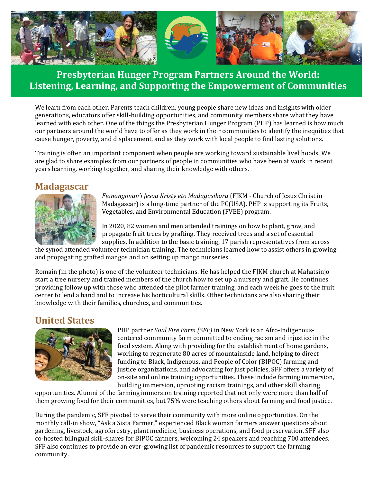

# **Presbyterian Hunger Program Partners Around the World: Listening, Learning, and Supporting the Empowerment of Communities**

We learn from each other. Parents teach children, young people share new ideas and insights with older generations, educators offer skill-building opportunities, and community members share what they have learned with each other. One of the things the Presbyterian Hunger Program (PHP) has learned is how much our partners around the world have to offer as they work in their communities to identify the inequities that cause hunger, poverty, and displacement, and as they work with local people to find lasting solutions.

Training is often an important component when people are working toward sustainable livelihoods. We are glad to share examples from our partners of people in communities who have been at work in recent years learning, working together, and sharing their knowledge with others.

### **Madagascar**



*Fianangonan'i Jesoa Kristy eto Madagasikara* (FJKM - Church of Jesus Christ in Madagascar) is a long-time partner of the PC(USA). PHP is supporting its Fruits, Vegetables, and Environmental Education (FVEE) program.

In 2020, 82 women and men attended trainings on how to plant, grow, and propagate fruit trees by grafting. They received trees and a set of essential supplies. In addition to the basic training, 17 parish representatives from across

the synod attended volunteer technician training. The technicians learned how to assist others in growing and propagating grafted mangos and on setting up mango nurseries.

Romain (in the photo) is one of the volunteer technicians. He has helped the FJKM church at Mahatsinjo start a tree nursery and trained members of the church how to set up a nursery and graft. He continues providing follow up with those who attended the pilot farmer training, and each week he goes to the fruit center to lend a hand and to increase his horticultural skills. Other technicians are also sharing their knowledge with their families, churches, and communities.

### **United States**



PHP partner *Soul Fire Farm (SFF)* in New York is an Afro-Indigenouscentered community farm committed to ending racism and injustice in the food system. Along with providing for the establishment of home gardens, working to regenerate 80 acres of mountainside land, helping to direct funding to Black, Indigenous, and People of Color (BIPOC) farming and justice organizations, and advocating for just policies, SFF offers a variety of on-site and online training opportunities. These include farming immersion, building immersion, uprooting racism trainings, and other skill sharing

opportunities. Alumni of the farming immersion training reported that not only were more than half of them growing food for their communities, but 75% were teaching others about farming and food justice.

During the pandemic, SFF pivoted to serve their community with more online opportunities. On the monthly call-in show, "Ask a Sista Farmer," experienced Black womxn farmers answer questions about gardening, livestock, agroforestry, plant medicine, business operations, and food preservation. SFF also co-hosted bilingual skill-shares for BIPOC farmers, welcoming 24 speakers and reaching 700 attendees. SFF also continues to provide an ever-growing list of pandemic resources to support the farming community.